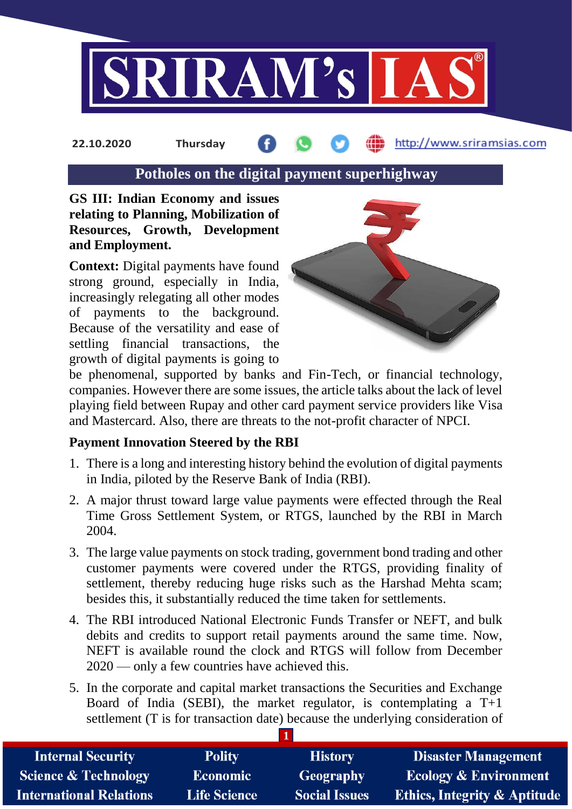

#### http://www.sriramsias.com **22.10.2020 Thursday**

## **Potholes on the digital payment superhighway**

**GS III: Indian Economy and issues relating to Planning, Mobilization of Resources, Growth, Development and Employment.**

**Context:** Digital payments have found strong ground, especially in India, increasingly relegating all other modes of payments to the background. Because of the versatility and ease of settling financial transactions, the growth of digital payments is going to



be phenomenal, supported by banks and Fin-Tech, or financial technology, companies. However there are some issues, the article talks about the lack of level playing field between Rupay and other card payment service providers like Visa and Mastercard. Also, there are threats to the not-profit character of NPCI.

#### **Payment Innovation Steered by the RBI**

- 1. There is a long and interesting history behind the evolution of digital payments in India, piloted by the Reserve Bank of India (RBI).
- 2. A major thrust toward large value payments were effected through the Real Time Gross Settlement System, or RTGS, launched by the RBI in March 2004.
- 3. The large value payments on stock trading, government bond trading and other customer payments were covered under the RTGS, providing finality of settlement, thereby reducing huge risks such as the Harshad Mehta scam; besides this, it substantially reduced the time taken for settlements.
- 4. The RBI introduced National Electronic Funds Transfer or NEFT, and bulk debits and credits to support retail payments around the same time. Now, NEFT is available round the clock and RTGS will follow from December 2020 — only a few countries have achieved this.
- 5. In the corporate and capital market transactions the Securities and Exchange Board of India (SEBI), the market regulator, is contemplating a  $T+1$ settlement (T is for transaction date) because the underlying consideration of

| <b>Internal Security</b>        | <b>Polity</b>       | <b>History</b>       | <b>Disaster Management</b>              |
|---------------------------------|---------------------|----------------------|-----------------------------------------|
| <b>Science &amp; Technology</b> | Economic            | Geography            | <b>Ecology &amp; Environment</b>        |
| <b>International Relations</b>  | <b>Life Science</b> | <b>Social Issues</b> | <b>Ethics, Integrity &amp; Aptitude</b> |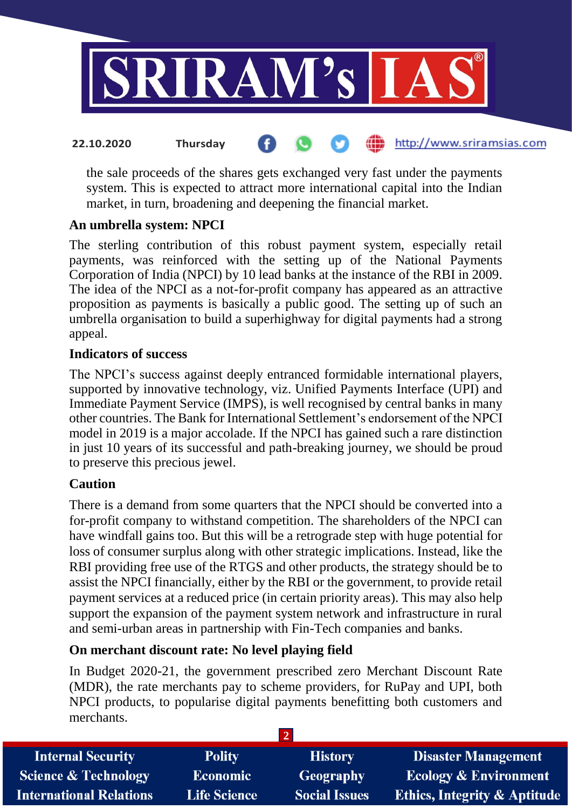

the sale proceeds of the shares gets exchanged very fast under the payments system. This is expected to attract more international capital into the Indian market, in turn, broadening and deepening the financial market.

## **An umbrella system: NPCI**

The sterling contribution of this robust payment system, especially retail payments, was reinforced with the setting up of the National Payments Corporation of India (NPCI) by 10 lead banks at the instance of the RBI in 2009. The idea of the NPCI as a not-for-profit company has appeared as an attractive proposition as payments is basically a public good. The setting up of such an umbrella organisation to build a superhighway for digital payments had a strong appeal.

## **Indicators of success**

The NPCI's success against deeply entranced formidable international players, supported by innovative technology, viz. Unified Payments Interface (UPI) and Immediate Payment Service (IMPS), is well recognised by central banks in many other countries. The Bank for International Settlement's endorsement of the NPCI model in 2019 is a major accolade. If the NPCI has gained such a rare distinction in just 10 years of its successful and path-breaking journey, we should be proud to preserve this precious jewel.

## **Caution**

There is a demand from some quarters that the NPCI should be converted into a for-profit company to withstand competition. The shareholders of the NPCI can have windfall gains too. But this will be a retrograde step with huge potential for loss of consumer surplus along with other strategic implications. Instead, like the RBI providing free use of the RTGS and other products, the strategy should be to assist the NPCI financially, either by the RBI or the government, to provide retail payment services at a reduced price (in certain priority areas). This may also help support the expansion of the payment system network and infrastructure in rural and semi-urban areas in partnership with Fin-Tech companies and banks.

## **On merchant discount rate: No level playing field**

In Budget 2020-21, the government prescribed zero Merchant Discount Rate (MDR), the rate merchants pay to scheme providers, for RuPay and UPI, both NPCI products, to popularise digital payments benefitting both customers and merchants.

| <b>Internal Security</b>        | <b>Polity</b>       | <b>History</b>       | <b>Disaster Management</b>              |
|---------------------------------|---------------------|----------------------|-----------------------------------------|
| <b>Science &amp; Technology</b> | <b>Economic</b>     | Geography            | <b>Ecology &amp; Environment</b>        |
| <b>International Relations</b>  | <b>Life Science</b> | <b>Social Issues</b> | <b>Ethics, Integrity &amp; Aptitude</b> |